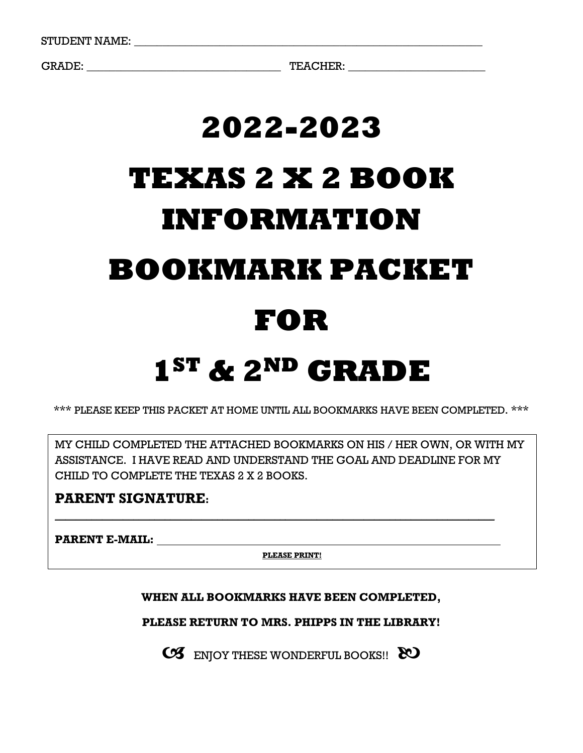GRADE: \_\_\_\_\_\_\_\_\_\_\_\_\_\_\_\_\_\_\_\_\_\_\_\_\_\_\_\_\_\_\_\_\_\_ TEACHER: \_\_\_\_\_\_\_\_\_\_\_\_\_\_\_\_\_\_\_\_\_\_\_\_

# **2022-2023 TEXAS 2 X 2 BOOK INFORMATION BOOKMARK PACKET FOR**

## **1ST & 2ND GRADE**

\*\*\* PLEASE KEEP THIS PACKET AT HOME UNTIL ALL BOOKMARKS HAVE BEEN COMPLETED. \*\*\*

MY CHILD COMPLETED THE ATTACHED BOOKMARKS ON HIS / HER OWN, OR WITH MY ASSISTANCE. I HAVE READ AND UNDERSTAND THE GOAL AND DEADLINE FOR MY CHILD TO COMPLETE THE TEXAS 2 X 2 BOOKS.

#### **PARENT SIGNATURE:**

**PARENT E-MAIL:**

**PLEASE PRINT!**

**\_\_\_\_\_\_\_\_\_\_\_\_\_\_\_\_\_\_\_\_\_\_\_\_\_\_\_\_\_\_\_\_\_\_\_\_\_\_\_\_\_\_\_\_\_\_\_\_\_\_\_\_\_\_\_\_\_\_\_\_\_\_\_\_\_\_\_\_\_\_\_\_\_\_\_\_\_\_\_\_\_\_\_\_**

#### **WHEN ALL BOOKMARKS HAVE BEEN COMPLETED,**

**PLEASE RETURN TO MRS. PHIPPS IN THE LIBRARY!**

CS ENJOY THESE WONDERFUL BOOKS!! 80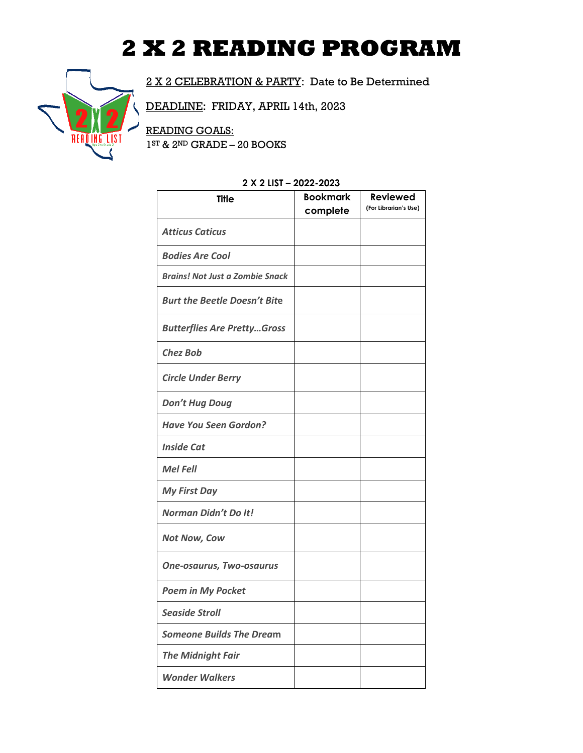### **2 X 2 READING PROGRAM**



2 X 2 CELEBRATION & PARTY: Date to Be Determined

DEADLINE: FRIDAY, APRIL 14th, 2023

READING GOALS: 1 ST & 2ND GRADE – 20 BOOKS

| 2 A Z LIJI – ZUZZ-ZUZJ                 |                             |                                          |
|----------------------------------------|-----------------------------|------------------------------------------|
| <b>Title</b>                           | <b>Bookmark</b><br>complete | <b>Reviewed</b><br>(For Librarian's Use) |
| <b>Atticus Caticus</b>                 |                             |                                          |
| <b>Bodies Are Cool</b>                 |                             |                                          |
| <b>Brains! Not Just a Zombie Snack</b> |                             |                                          |
| <b>Burt the Beetle Doesn't Bite</b>    |                             |                                          |
| <b>Butterflies Are PrettyGross</b>     |                             |                                          |
| <b>Chez Bob</b>                        |                             |                                          |
| <b>Circle Under Berry</b>              |                             |                                          |
| <b>Don't Hug Doug</b>                  |                             |                                          |
| <b>Have You Seen Gordon?</b>           |                             |                                          |
| <b>Inside Cat</b>                      |                             |                                          |
| <b>Mel Fell</b>                        |                             |                                          |
| <b>My First Day</b>                    |                             |                                          |
| Norman Didn't Do It!                   |                             |                                          |
| <b>Not Now, Cow</b>                    |                             |                                          |
| <b>One-osaurus, Two-osaurus</b>        |                             |                                          |
| <b>Poem in My Pocket</b>               |                             |                                          |
| <b>Seaside Stroll</b>                  |                             |                                          |
| <b>Someone Builds The Dream</b>        |                             |                                          |
| <b>The Midnight Fair</b>               |                             |                                          |
| <b>Wonder Walkers</b>                  |                             |                                          |
|                                        |                             |                                          |

#### **2 X 2 LIST – 2022-2023**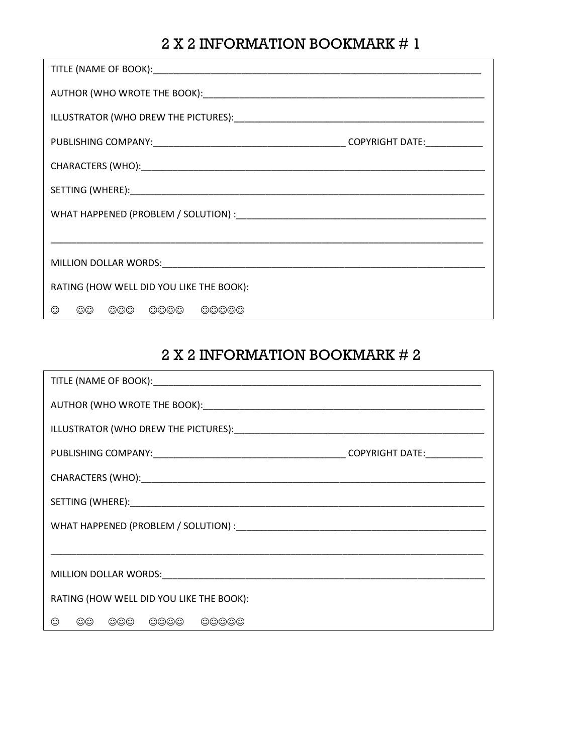| RATING (HOW WELL DID YOU LIKE THE BOOK): |  |
|------------------------------------------|--|
| $\odot\odot$<br>000 0000 00000<br>⊙      |  |

| RATING (HOW WELL DID YOU LIKE THE BOOK): |  |
|------------------------------------------|--|
| $\odot\odot$<br>000 0000 00000<br>☺      |  |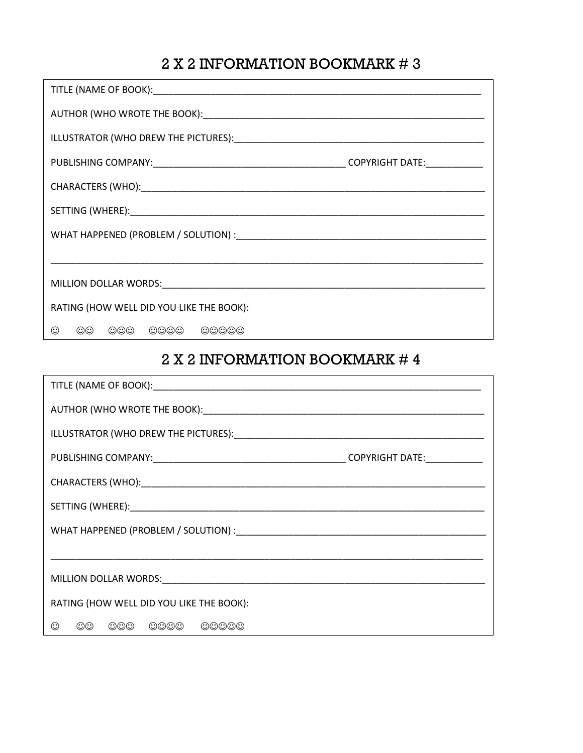| RATING (HOW WELL DID YOU LIKE THE BOOK): |
|------------------------------------------|
| 000 0000 00000<br>$\odot\odot$<br>☺      |

| RATING (HOW WELL DID YOU LIKE THE BOOK): |  |
|------------------------------------------|--|
| $\odot\odot$<br>000 0000<br>⊙<br>00000   |  |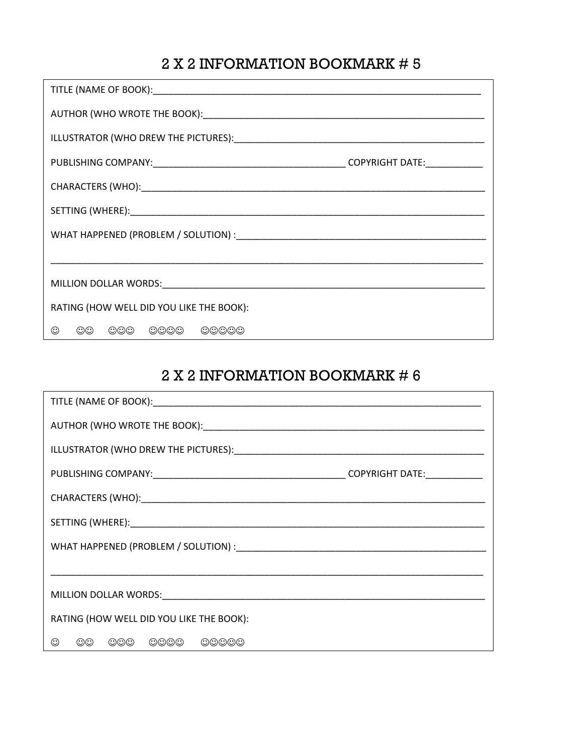| RATING (HOW WELL DID YOU LIKE THE BOOK):  |
|-------------------------------------------|
| 000 0000 00000<br>$\odot$<br>$\odot\odot$ |

| RATING (HOW WELL DID YOU LIKE THE BOOK):     |  |
|----------------------------------------------|--|
| $\odot\odot$<br>000 0000<br>$\odot$<br>00000 |  |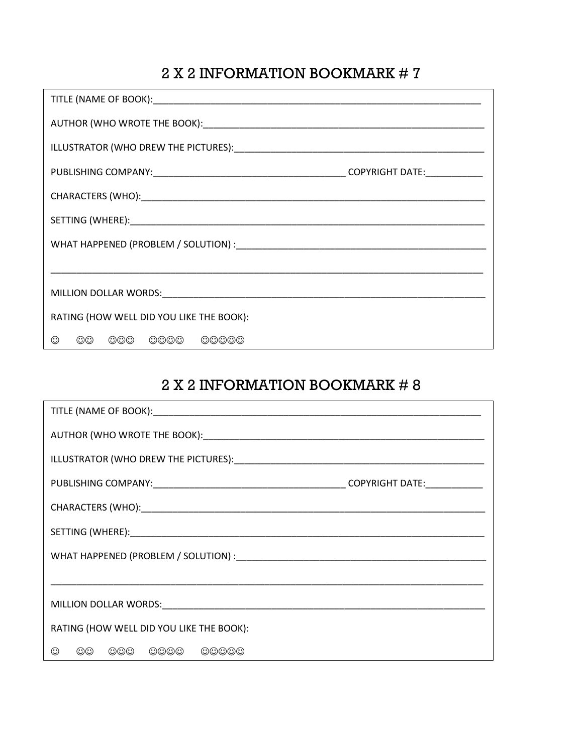| RATING (HOW WELL DID YOU LIKE THE BOOK): |
|------------------------------------------|
| $\odot\odot$<br>000 0000 00000<br>⊙      |

| RATING (HOW WELL DID YOU LIKE THE BOOK): |  |
|------------------------------------------|--|
| OO OOO OOOO OOOOO<br>⊙                   |  |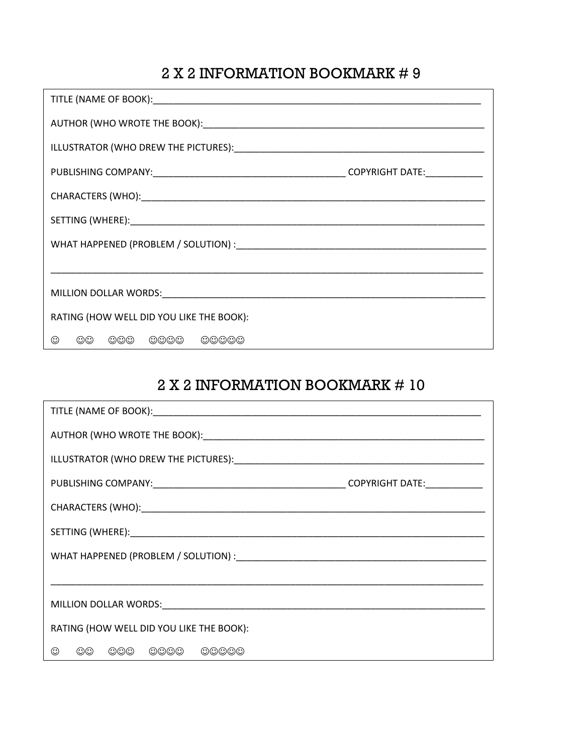| RATING (HOW WELL DID YOU LIKE THE BOOK): |
|------------------------------------------|
| $\odot\odot$<br>000 0000 00000<br>⊙      |

| RATING (HOW WELL DID YOU LIKE THE BOOK): |  |
|------------------------------------------|--|
| ☺<br>00 000 0000 00000                   |  |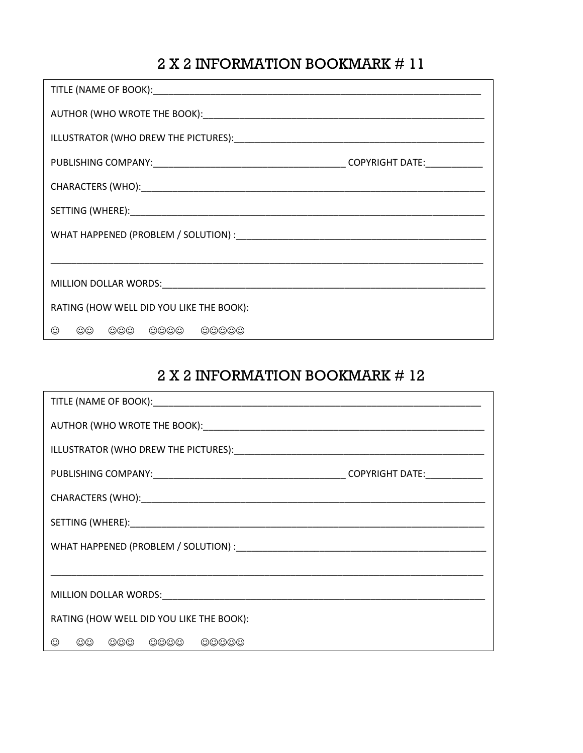| RATING (HOW WELL DID YOU LIKE THE BOOK):  |  |  |
|-------------------------------------------|--|--|
| $\odot$<br>$\odot\odot$<br>000 0000 00000 |  |  |

| RATING (HOW WELL DID YOU LIKE THE BOOK):  |  |
|-------------------------------------------|--|
| $\odot\odot$<br>000 0000 00000<br>$\odot$ |  |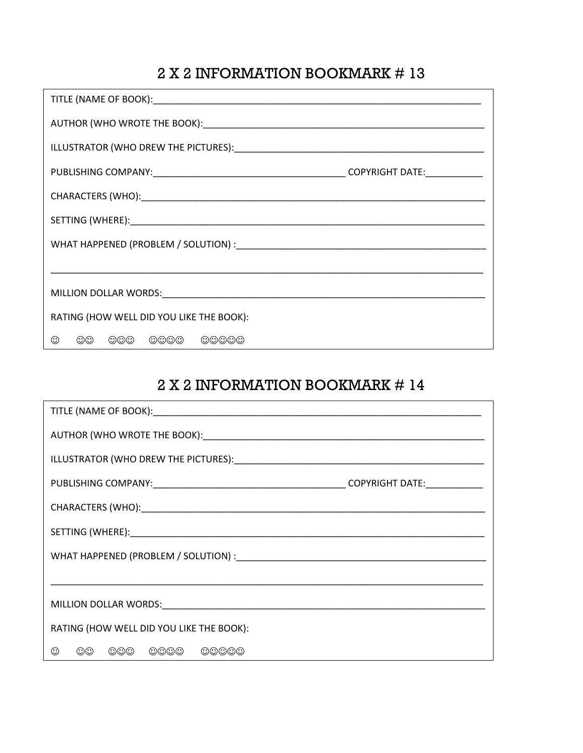| RATING (HOW WELL DID YOU LIKE THE BOOK): |  |
|------------------------------------------|--|
| $\odot\odot$<br>000 0000 00000<br>☺      |  |

| RATING (HOW WELL DID YOU LIKE THE BOOK): |  |
|------------------------------------------|--|
| 00 000 0000 00000<br>$\odot$             |  |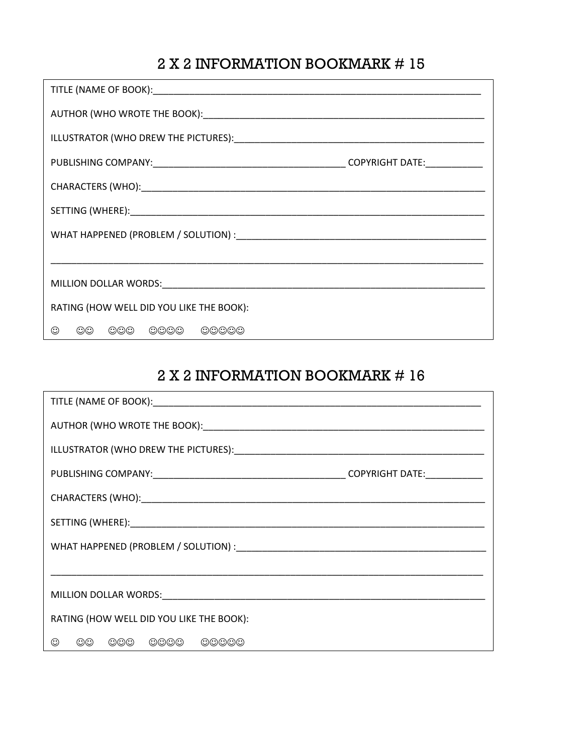| RATING (HOW WELL DID YOU LIKE THE BOOK): |  |  |
|------------------------------------------|--|--|
| $\odot\odot$<br>000 0000 00000           |  |  |

| RATING (HOW WELL DID YOU LIKE THE BOOK): |  |
|------------------------------------------|--|
| $\odot\odot$<br>000 0000 00000<br>⊙      |  |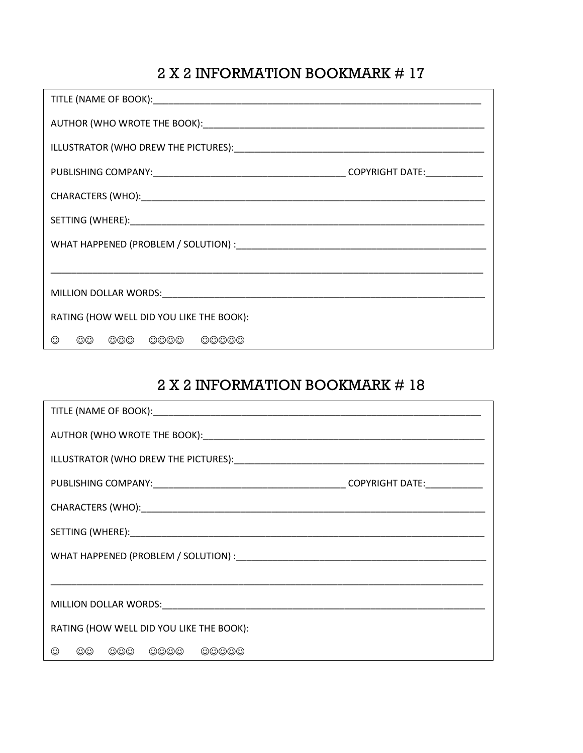| RATING (HOW WELL DID YOU LIKE THE BOOK): |  |
|------------------------------------------|--|
| $\odot\odot$<br>000 0000 00000<br>☺      |  |

| RATING (HOW WELL DID YOU LIKE THE BOOK): |  |
|------------------------------------------|--|
| ☺<br>00 000 0000 00000                   |  |